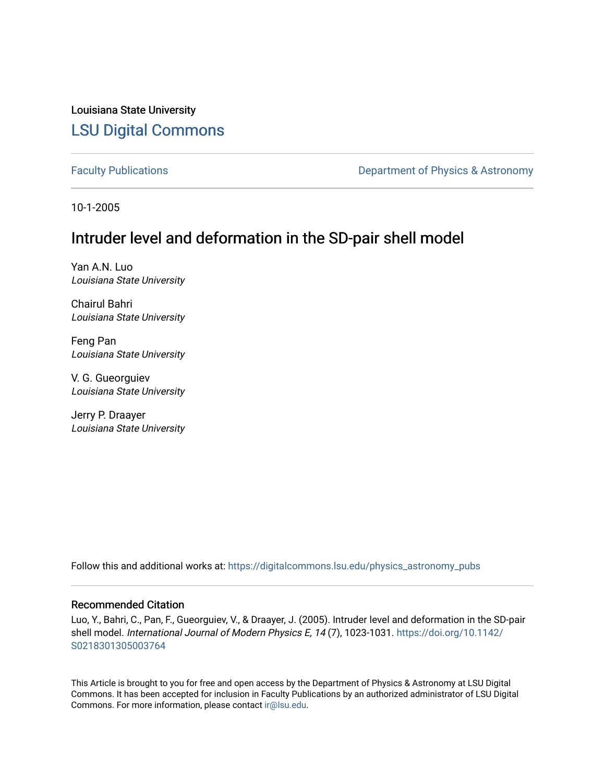Louisiana State University [LSU Digital Commons](https://digitalcommons.lsu.edu/)

[Faculty Publications](https://digitalcommons.lsu.edu/physics_astronomy_pubs) **Exercise 2 and Table 2 and Table 2 and Table 2 and Table 2 and Table 2 and Table 2 and Table 2 and Table 2 and Table 2 and Table 2 and Table 2 and Table 2 and Table 2 and Table 2 and Table 2 and Table** 

10-1-2005

## Intruder level and deformation in the SD-pair shell model

Yan A.N. Luo Louisiana State University

Chairul Bahri Louisiana State University

Feng Pan Louisiana State University

V. G. Gueorguiev Louisiana State University

Jerry P. Draayer Louisiana State University

Follow this and additional works at: [https://digitalcommons.lsu.edu/physics\\_astronomy\\_pubs](https://digitalcommons.lsu.edu/physics_astronomy_pubs?utm_source=digitalcommons.lsu.edu%2Fphysics_astronomy_pubs%2F1819&utm_medium=PDF&utm_campaign=PDFCoverPages) 

## Recommended Citation

Luo, Y., Bahri, C., Pan, F., Gueorguiev, V., & Draayer, J. (2005). Intruder level and deformation in the SD-pair shell model. International Journal of Modern Physics E, 14 (7), 1023-1031. [https://doi.org/10.1142/](https://doi.org/10.1142/S0218301305003764) [S0218301305003764](https://doi.org/10.1142/S0218301305003764) 

This Article is brought to you for free and open access by the Department of Physics & Astronomy at LSU Digital Commons. It has been accepted for inclusion in Faculty Publications by an authorized administrator of LSU Digital Commons. For more information, please contact [ir@lsu.edu](mailto:ir@lsu.edu).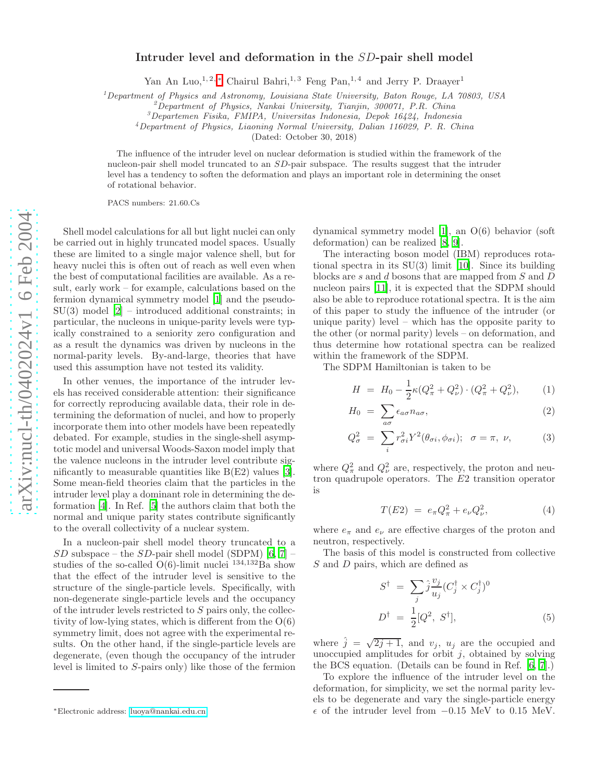## Intruder level and deformation in the SD-pair shell model

Yan An Luo,<sup>1, 2,\*</sup> Chairul Bahri,<sup>1, 3</sup> Feng Pan,<sup>1, 4</sup> and Jerry P. Draayer<sup>1</sup>

 $<sup>1</sup> Department of Physics and Astronomy, Louisiana State University, Baton Rouge, LA 70803, USA$ </sup>

<sup>2</sup>Department of Physics, Nankai University, Tianjin, 300071, P.R. China<br><sup>3</sup>Departemen Fisika, FMIPA, Universitas Indonesia, Depok 16424, Indonesia<br><sup>4</sup>Department of Physics, Liaoning Normal University, Dalian 116029, P. R

(Dated: October 30, 2018)

The influence of the intruder level on nuclear deformation is studied within the framework of the nucleon-pair shell model truncated to an SD-pair subspace. The results suggest that the intruder level has a tendency to soften the deformation and plays an important role in determining the onset of rotational behavior.

PACS numbers: 21.60.Cs

Shell model calculations for all but light nuclei can only be carried out in highly truncated model spaces. Usually these are limited to a single major valence shell, but for heavy nuclei this is often out of reach as well even when the best of computational facilities are available. As a result, early work – for example, calculations based on the fermion dynamical symmetry model [\[1\]](#page-4-0) and the pseudo- $SU(3)$  model  $[2]$  – introduced additional constraints; in particular, the nucleons in unique-parity levels were typically constrained to a seniority zero configuration and as a result the dynamics was driven by nucleons in the normal-parity levels. By-and-large, theories that have used this assumption have not tested its validity.

In other venues, the importance of the intruder levels has received considerable attention: their significance for correctly reproducing available data, their role in determining the deformation of nuclei, and how to properly incorporate them into other models have been repeatedly debated. For example, studies in the single-shell asymptotic model and universal Woods-Saxon model imply that the valence nucleons in the intruder level contribute significantly to measurable quantities like B(E2) values [\[3\]](#page-4-2). Some mean-field theories claim that the particles in the intruder level play a dominant role in determining the deformation [\[4\]](#page-4-3). In Ref. [\[5\]](#page-4-4) the authors claim that both the normal and unique parity states contribute significantly to the overall collectivity of a nuclear system.

In a nucleon-pair shell model theory truncated to a  $SD$  subspace – the  $SD$ -pair shell model (SDPM) [\[6](#page-4-5), [7](#page-4-6)] – studies of the so-called  $O(6)$ -limit nuclei  $^{134,132}Ba$  show that the effect of the intruder level is sensitive to the structure of the single-particle levels. Specifically, with non-degenerate single-particle levels and the occupancy of the intruder levels restricted to S pairs only, the collectivity of low-lying states, which is different from the  $O(6)$ symmetry limit, does not agree with the experimental results. On the other hand, if the single-particle levels are degenerate, (even though the occupancy of the intruder level is limited to S-pairs only) like those of the fermion

dynamical symmetry model [\[1\]](#page-4-0), an O(6) behavior (soft deformation) can be realized [\[8,](#page-4-7) [9\]](#page-4-8).

The interacting boson model (IBM) reproduces rotational spectra in its SU(3) limit [\[10](#page-4-9)]. Since its building blocks are s and d bosons that are mapped from S and D nucleon pairs [\[11\]](#page-4-10), it is expected that the SDPM should also be able to reproduce rotational spectra. It is the aim of this paper to study the influence of the intruder (or unique parity) level – which has the opposite parity to the other (or normal parity) levels – on deformation, and thus determine how rotational spectra can be realized within the framework of the SDPM.

The SDPM Hamiltonian is taken to be

$$
H = H_0 - \frac{1}{2}\kappa (Q_{\pi}^2 + Q_{\nu}^2) \cdot (Q_{\pi}^2 + Q_{\nu}^2), \tag{1}
$$

$$
H_0 = \sum_{a\sigma} \epsilon_{a\sigma} n_{a\sigma}, \qquad (2)
$$

$$
Q_{\sigma}^{2} = \sum_{i} r_{\sigma i}^{2} Y^{2} (\theta_{\sigma i}, \phi_{\sigma i}); \quad \sigma = \pi, \ \nu,
$$
 (3)

where  $Q_{\pi}^2$  and  $Q_{\nu}^2$  are, respectively, the proton and neutron quadrupole operators. The E2 transition operator is

$$
T(E2) = e_{\pi} Q_{\pi}^2 + e_{\nu} Q_{\nu}^2,
$$
 (4)

where  $e_{\pi}$  and  $e_{\nu}$  are effective charges of the proton and neutron, respectively.

The basis of this model is constructed from collective S and D pairs, which are defined as

$$
S^{\dagger} = \sum_{j} \hat{j} \frac{v_j}{u_j} (C_j^{\dagger} \times C_j^{\dagger})^0
$$
  

$$
D^{\dagger} = \frac{1}{2} [Q^2, S^{\dagger}], \qquad (5)
$$

where  $\hat{j} = \sqrt{2j+1}$ , and  $v_j$ ,  $u_j$  are the occupied and unoccupied amplitudes for orbit  $j$ , obtained by solving the BCS equation. (Details can be found in Ref. [\[6,](#page-4-5) [7\]](#page-4-6).)

To explore the influence of the intruder level on the deformation, for simplicity, we set the normal parity levels to be degenerate and vary the single-particle energy  $\epsilon$  of the intruder level from  $-0.15$  MeV to 0.15 MeV.

<span id="page-1-0"></span><sup>∗</sup>Electronic address: [luoya@nankai.edu.cn](mailto:luoya@nankai.edu.cn)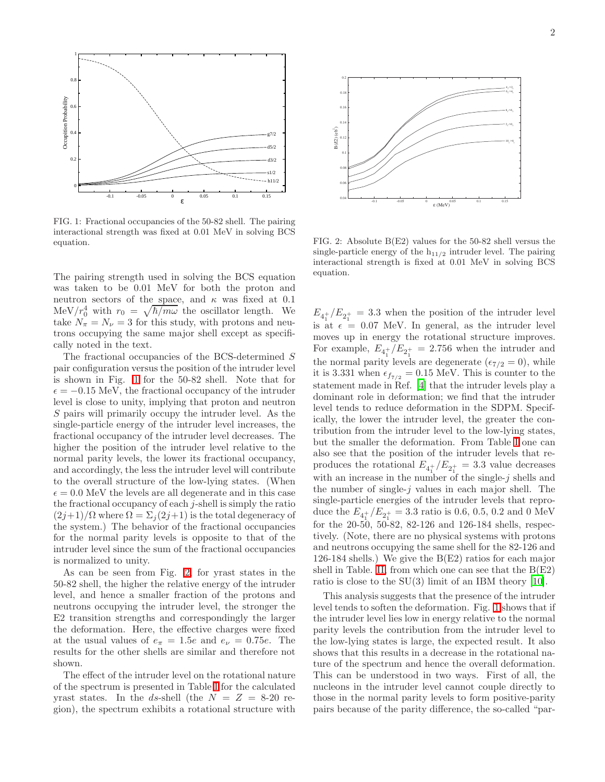

<span id="page-2-0"></span>FIG. 1: Fractional occupancies of the 50-82 shell. The pairing interactional strength was fixed at 0.01 MeV in solving BCS equation.

The pairing strength used in solving the BCS equation was taken to be 0.01 MeV for both the proton and neutron sectors of the space, and  $\kappa$  was fixed at 0.1 MeV/ $r_0^4$  with  $r_0 = \sqrt{\hbar/m\omega}$  the oscillator length. We take  $N_{\pi} = N_{\nu} = 3$  for this study, with protons and neutrons occupying the same major shell except as specifically noted in the text.

The fractional occupancies of the BCS-determined S pair configuration versus the position of the intruder level is shown in Fig. [1](#page-2-0) for the 50-82 shell. Note that for  $\epsilon = -0.15$  MeV, the fractional occupancy of the intruder level is close to unity, implying that proton and neutron S pairs will primarily occupy the intruder level. As the single-particle energy of the intruder level increases, the fractional occupancy of the intruder level decreases. The higher the position of the intruder level relative to the normal parity levels, the lower its fractional occupancy, and accordingly, the less the intruder level will contribute to the overall structure of the low-lying states. (When  $\epsilon = 0.0$  MeV the levels are all degenerate and in this case the fractional occupancy of each  $j$ -shell is simply the ratio  $(2j+1)/\Omega$  where  $\Omega = \Sigma_i(2j+1)$  is the total degeneracy of the system.) The behavior of the fractional occupancies for the normal parity levels is opposite to that of the intruder level since the sum of the fractional occupancies is normalized to unity.

As can be seen from Fig. [2,](#page-2-1) for yrast states in the 50-82 shell, the higher the relative energy of the intruder level, and hence a smaller fraction of the protons and neutrons occupying the intruder level, the stronger the E2 transition strengths and correspondingly the larger the deformation. Here, the effective charges were fixed at the usual values of  $e_{\pi} = 1.5e$  and  $e_{\nu} = 0.75e$ . The results for the other shells are similar and therefore not shown.

The effect of the intruder level on the rotational nature of the spectrum is presented in Table [I](#page-3-0) for the calculated yrast states. In the ds-shell (the  $N = Z = 8-20$  region), the spectrum exhibits a rotational structure with



<span id="page-2-1"></span>FIG. 2: Absolute B(E2) values for the 50-82 shell versus the single-particle energy of the  $h_{11/2}$  intruder level. The pairing interactional strength is fixed at 0.01 MeV in solving BCS equation.

 $E_{4+}$  / $E_{2+}$  = 3.3 when the position of the intruder level is at  $\epsilon = 0.07$  MeV. In general, as the intruder level moves up in energy the rotational structure improves. For example,  $E_{4+}^{+}/E_{2+}^{+} = 2.756$  when the intruder and the normal parity levels are degenerate ( $\epsilon_{7/2} = 0$ ), while it is 3.331 when  $\epsilon_{f7/2} = 0.15$  MeV. This is counter to the statement made in Ref. [\[4](#page-4-3)] that the intruder levels play a dominant role in deformation; we find that the intruder level tends to reduce deformation in the SDPM. Specifically, the lower the intruder level, the greater the contribution from the intruder level to the low-lying states, but the smaller the deformation. From Table [I](#page-3-0) one can also see that the position of the intruder levels that reproduces the rotational  $E_{4_1^+}/E_{2_1^+} = 3.3$  value decreases with an increase in the number of the single- $j$  shells and the number of single- $j$  values in each major shell. The single-particle energies of the intruder levels that reproduce the  $E_{4_1^+}/E_{2_1^+} = 3.3$  ratio is 0.6, 0.5, 0.2 and 0 MeV for the 20-50, 50-82, 82-126 and 126-184 shells, respectively. (Note, there are no physical systems with protons and neutrons occupying the same shell for the 82-126 and 126-184 shells.) We give the B(E2) ratios for each major shell in Table. [II,](#page-3-1) from which one can see that the  $B(E2)$ ratio is close to the  $SU(3)$  limit of an IBM theory [\[10](#page-4-9)].

This analysis suggests that the presence of the intruder level tends to soften the deformation. Fig. [1](#page-2-0) shows that if the intruder level lies low in energy relative to the normal parity levels the contribution from the intruder level to the low-lying states is large, the expected result. It also shows that this results in a decrease in the rotational nature of the spectrum and hence the overall deformation. This can be understood in two ways. First of all, the nucleons in the intruder level cannot couple directly to those in the normal parity levels to form positive-parity pairs because of the parity difference, the so-called "par-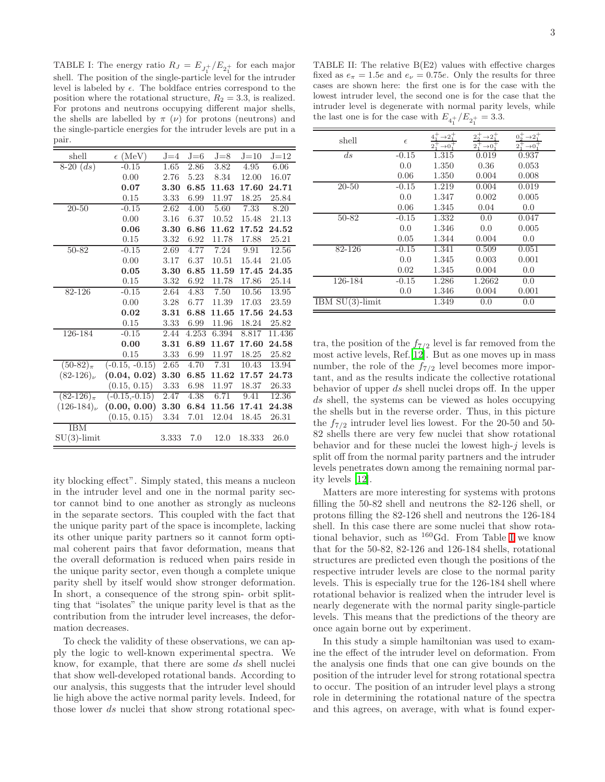<span id="page-3-0"></span>TABLE I: The energy ratio  $R_J = E_{J_1^+}/E_{2_1^+}$  for each major shell. The position of the single-particle level for the intruder level is labeled by  $\epsilon$ . The boldface entries correspond to the position where the rotational structure,  $R_2 = 3.3$ , is realized. For protons and neutrons occupying different major shells, the shells are labelled by  $\pi(\nu)$  for protons (neutrons) and the single-particle energies for the intruder levels are put in a pair.

| shell            | $\epsilon$ (MeV) | $J = 4$ | $J = 6$ | $J = 8$ | $J=10$ | $J=12$      |
|------------------|------------------|---------|---------|---------|--------|-------------|
| $8-20$ $(ds)$    | $-0.15$          | 1.65    | 2.86    | 3.82    | 4.95   | 6.06        |
|                  | 0.00             | 2.76    | 5.23    | 8.34    | 12.00  | 16.07       |
|                  | 0.07             | 3.30    | 6.85    | 11.63   | 17.60  | 24.71       |
|                  | 0.15             | 3.33    | 6.99    | 11.97   | 18.25  | 25.84       |
| $20 - 50$        | $-0.15$          | 2.62    | 4.00    | 5.60    | 7.33   | 8.20        |
|                  | 0.00             | 3.16    | 6.37    | 10.52   | 15.48  | 21.13       |
|                  | 0.06             | 3.30    | 6.86    | 11.62   | 17.52  | $\bf 24.52$ |
|                  | 0.15             | 3.32    | 6.92    | 11.78   | 17.88  | 25.21       |
| 50-82            | $-0.15$          | 2.69    | 4.77    | 7.24    | 9.91   | 12.56       |
|                  | 0.00             | 3.17    | 6.37    | 10.51   | 15.44  | 21.05       |
|                  | 0.05             | 3.30    | 6.85    | 11.59   | 17.45  | 24.35       |
|                  | 0.15             | 3.32    | 6.92    | 11.78   | 17.86  | 25.14       |
| 82-126           | $-0.15$          | 2.64    | 4.83    | 7.50    | 10.56  | 13.95       |
|                  | 0.00             | 3.28    | 6.77    | 11.39   | 17.03  | 23.59       |
|                  | 0.02             | 3.31    | 6.88    | 11.65   | 17.56  | 24.53       |
|                  | 0.15             | 3.33    | 6.99    | 11.96   | 18.24  | 25.82       |
| 126-184          | $-0.15$          | 2.44    | 4.253   | 6.394   | 8.817  | 11.436      |
|                  | 0.00             | 3.31    | 6.89    | 11.67   | 17.60  | 24.58       |
|                  | 0.15             | 3.33    | 6.99    | 11.97   | 18.25  | 25.82       |
| $(50-82)_{\pi}$  | $(-0.15, -0.15)$ | 2.65    | 4.70    | 7.31    | 10.43  | 13.94       |
| $(82-126)$       | (0.04, 0.02)     | 3.30    | 6.85    | 11.62   | 17.57  | 24.73       |
|                  | (0.15, 0.15)     | 3.33    | 6.98    | 11.97   | 18.37  | 26.33       |
| $(82-126)_{\pi}$ | $(-0.15,-0.15)$  | 2.47    | 4.38    | 6.71    | 9.41   | 12.36       |
| $(126-184)$      | (0.00, 0.00)     | 3.30    | 6.84    | 11.56   | 17.41  | 24.38       |
|                  | (0.15, 0.15)     | 3.34    | 7.01    | 12.04   | 18.45  | 26.31       |
| <b>IBM</b>       |                  |         |         |         |        |             |
| $SU(3)$ -limit   |                  | 3.333   | 7.0     | 12.0    | 18.333 | 26.0        |

ity blocking effect". Simply stated, this means a nucleon in the intruder level and one in the normal parity sector cannot bind to one another as strongly as nucleons in the separate sectors. This coupled with the fact that the unique parity part of the space is incomplete, lacking its other unique parity partners so it cannot form optimal coherent pairs that favor deformation, means that the overall deformation is reduced when pairs reside in the unique parity sector, even though a complete unique parity shell by itself would show stronger deformation. In short, a consequence of the strong spin- orbit splitting that "isolates" the unique parity level is that as the contribution from the intruder level increases, the deformation decreases.

To check the validity of these observations, we can apply the logic to well-known experimental spectra. We know, for example, that there are some ds shell nuclei that show well-developed rotational bands. According to our analysis, this suggests that the intruder level should lie high above the active normal parity levels. Indeed, for those lower ds nuclei that show strong rotational spec-

<span id="page-3-1"></span>TABLE II: The relative B(E2) values with effective charges fixed as  $e_{\pi} = 1.5e$  and  $e_{\nu} = 0.75e$ . Only the results for three cases are shown here: the first one is for the case with the lowest intruder level, the second one is for the case that the intruder level is degenerate with normal parity levels, while the last one is for the case with  $E_{4_1^+}/E_{2_1^+} = 3.3$ .

| shell              | $\epsilon$ | $\rightarrow 2^+$<br>$2^{+}_{1}$<br>$\rightarrow 0$ | $\rightarrow 2^+$<br>$2^{+}_{2}$<br>$2^{+}_{+}$<br>$\rightarrow 0^+$ | $0^+_2 \rightarrow 2^+_1$<br>$2^{+}_{+}$<br>$\rightarrow 0$ |
|--------------------|------------|-----------------------------------------------------|----------------------------------------------------------------------|-------------------------------------------------------------|
| ds                 | $-0.15$    | 1.315                                               | 0.019                                                                | 0.937                                                       |
|                    | 0.0        | 1.350                                               | 0.36                                                                 | 0.053                                                       |
|                    | 0.06       | 1.350                                               | 0.004                                                                | 0.008                                                       |
| $20 - 50$          | $-0.15$    | 1.219                                               | 0.004                                                                | 0.019                                                       |
|                    | 0.0        | 1.347                                               | 0.002                                                                | 0.005                                                       |
|                    | 0.06       | 1.345                                               | 0.04                                                                 | 0.0                                                         |
| 50-82              | $-0.15$    | 1.332                                               | 0.0                                                                  | 0.047                                                       |
|                    | 0.0        | 1.346                                               | 0.0                                                                  | 0.005                                                       |
|                    | 0.05       | 1.344                                               | 0.004                                                                | 0.0                                                         |
| 82-126             | $-0.15$    | 1.341                                               | 0.509                                                                | 0.051                                                       |
|                    | 0.0        | 1.345                                               | 0.003                                                                | 0.001                                                       |
|                    | 0.02       | 1.345                                               | 0.004                                                                | 0.0                                                         |
| 126-184            | $-0.15$    | 1.286                                               | 1.2662                                                               | 0.0                                                         |
|                    | 0.0        | 1.346                                               | 0.004                                                                | 0.001                                                       |
| IBM $SU(3)$ -limit |            | 1.349                                               | 0.0                                                                  | 0.0                                                         |

tra, the position of the  $f_{7/2}$  level is far removed from the most active levels, Ref.[\[12](#page-4-11)]. But as one moves up in mass number, the role of the  $f_{7/2}$  level becomes more important, and as the results indicate the collective rotational behavior of upper ds shell nuclei drops off. In the upper ds shell, the systems can be viewed as holes occupying the shells but in the reverse order. Thus, in this picture the  $f_{7/2}$  intruder level lies lowest. For the 20-50 and 50-82 shells there are very few nuclei that show rotational behavior and for these nuclei the lowest high- $j$  levels is split off from the normal parity partners and the intruder levels penetrates down among the remaining normal parity levels [\[12](#page-4-11)].

Matters are more interesting for systems with protons filling the 50-82 shell and neutrons the 82-126 shell, or protons filling the 82-126 shell and neutrons the 126-184 shell. In this case there are some nuclei that show rotational behavior, such as  $^{160}$ Gd. From Table [I](#page-3-0) we know that for the 50-82, 82-126 and 126-184 shells, rotational structures are predicted even though the positions of the respective intruder levels are close to the normal parity levels. This is especially true for the 126-184 shell where rotational behavior is realized when the intruder level is nearly degenerate with the normal parity single-particle levels. This means that the predictions of the theory are once again borne out by experiment.

In this study a simple hamiltonian was used to examine the effect of the intruder level on deformation. From the analysis one finds that one can give bounds on the position of the intruder level for strong rotational spectra to occur. The position of an intruder level plays a strong role in determining the rotational nature of the spectra and this agrees, on average, with what is found exper